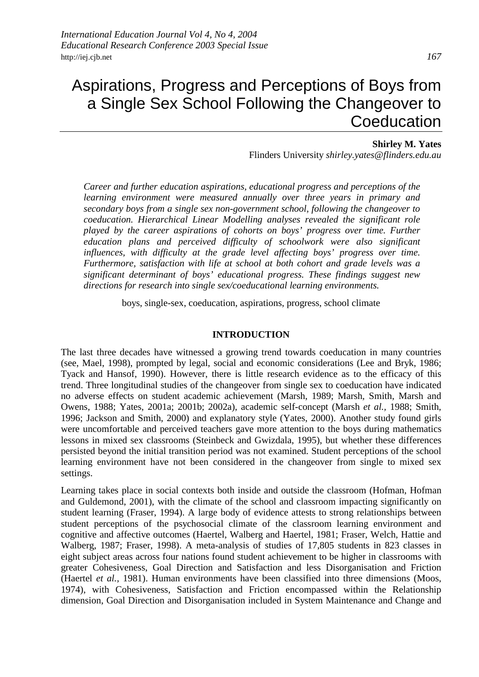# Aspirations, Progress and Perceptions of Boys from a Single Sex School Following the Changeover to **Coeducation**

#### **Shirley M. Yates**

Flinders University *shirley.yates@flinders.edu.au*

*Career and further education aspirations, educational progress and perceptions of the learning environment were measured annually over three years in primary and secondary boys from a single sex non-government school, following the changeover to coeducation. Hierarchical Linear Modelling analyses revealed the significant role played by the career aspirations of cohorts on boys' progress over time. Further education plans and perceived difficulty of schoolwork were also significant influences, with difficulty at the grade level affecting boys' progress over time. Furthermore, satisfaction with life at school at both cohort and grade levels was a significant determinant of boys' educational progress. These findings suggest new directions for research into single sex/coeducational learning environments.* 

boys, single-sex, coeducation, aspirations, progress, school climate

#### **INTRODUCTION**

The last three decades have witnessed a growing trend towards coeducation in many countries (see, Mael, 1998), prompted by legal, social and economic considerations (Lee and Bryk, 1986; Tyack and Hansof, 1990). However, there is little research evidence as to the efficacy of this trend. Three longitudinal studies of the changeover from single sex to coeducation have indicated no adverse effects on student academic achievement (Marsh, 1989; Marsh*,* Smith, Marsh and Owens, 1988; Yates, 2001a; 2001b; 2002a), academic self-concept (Marsh *et al.,* 1988; Smith, 1996; Jackson and Smith, 2000) and explanatory style (Yates, 2000). Another study found girls were uncomfortable and perceived teachers gave more attention to the boys during mathematics lessons in mixed sex classrooms (Steinbeck and Gwizdala, 1995), but whether these differences persisted beyond the initial transition period was not examined. Student perceptions of the school learning environment have not been considered in the changeover from single to mixed sex settings.

Learning takes place in social contexts both inside and outside the classroom (Hofman, Hofman and Guldemond, 2001), with the climate of the school and classroom impacting significantly on student learning (Fraser, 1994). A large body of evidence attests to strong relationships between student perceptions of the psychosocial climate of the classroom learning environment and cognitive and affective outcomes (Haertel, Walberg and Haertel, 1981; Fraser, Welch, Hattie and Walberg, 1987; Fraser, 1998). A meta-analysis of studies of 17,805 students in 823 classes in eight subject areas across four nations found student achievement to be higher in classrooms with greater Cohesiveness, Goal Direction and Satisfaction and less Disorganisation and Friction (Haertel *et al.,* 1981). Human environments have been classified into three dimensions (Moos, 1974), with Cohesiveness, Satisfaction and Friction encompassed within the Relationship dimension, Goal Direction and Disorganisation included in System Maintenance and Change and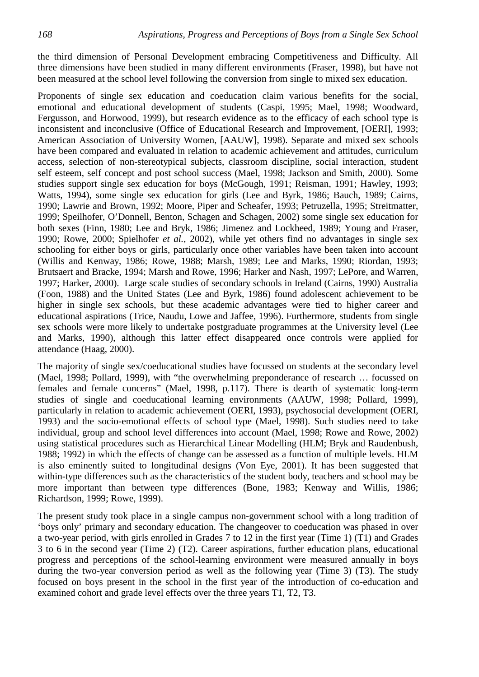the third dimension of Personal Development embracing Competitiveness and Difficulty. All three dimensions have been studied in many different environments (Fraser, 1998), but have not been measured at the school level following the conversion from single to mixed sex education.

Proponents of single sex education and coeducation claim various benefits for the social, emotional and educational development of students (Caspi, 1995; Mael, 1998; Woodward, Fergusson, and Horwood, 1999), but research evidence as to the efficacy of each school type is inconsistent and inconclusive (Office of Educational Research and Improvement, [OERI], 1993; American Association of University Women, [AAUW], 1998). Separate and mixed sex schools have been compared and evaluated in relation to academic achievement and attitudes, curriculum access, selection of non-stereotypical subjects, classroom discipline, social interaction, student self esteem, self concept and post school success (Mael, 1998; Jackson and Smith, 2000). Some studies support single sex education for boys (McGough, 1991; Reisman, 1991; Hawley, 1993; Watts, 1994), some single sex education for girls (Lee and Byrk, 1986; Bauch, 1989; Cairns, 1990; Lawrie and Brown, 1992; Moore, Piper and Scheafer, 1993; Petruzella, 1995; Streitmatter, 1999; Speilhofer, O'Donnell, Benton, Schagen and Schagen, 2002) some single sex education for both sexes (Finn, 1980; Lee and Bryk, 1986; Jimenez and Lockheed, 1989; Young and Fraser, 1990; Rowe, 2000; Spielhofer *et al.,* 2002), while yet others find no advantages in single sex schooling for either boys or girls, particularly once other variables have been taken into account (Willis and Kenway, 1986; Rowe, 1988; Marsh, 1989; Lee and Marks, 1990; Riordan, 1993; Brutsaert and Bracke, 1994; Marsh and Rowe, 1996; Harker and Nash, 1997; LePore, and Warren, 1997; Harker, 2000). Large scale studies of secondary schools in Ireland (Cairns, 1990) Australia (Foon, 1988) and the United States (Lee and Byrk, 1986) found adolescent achievement to be higher in single sex schools, but these academic advantages were tied to higher career and educational aspirations (Trice, Naudu, Lowe and Jaffee, 1996). Furthermore, students from single sex schools were more likely to undertake postgraduate programmes at the University level (Lee and Marks, 1990), although this latter effect disappeared once controls were applied for attendance (Haag, 2000).

The majority of single sex/coeducational studies have focussed on students at the secondary level (Mael, 1998; Pollard, 1999), with "the overwhelming preponderance of research … focussed on females and female concerns" (Mael, 1998, p.117). There is dearth of systematic long-term studies of single and coeducational learning environments (AAUW, 1998; Pollard, 1999), particularly in relation to academic achievement (OERI, 1993), psychosocial development (OERI, 1993) and the socio-emotional effects of school type (Mael, 1998). Such studies need to take individual, group and school level differences into account (Mael, 1998; Rowe and Rowe, 2002) using statistical procedures such as Hierarchical Linear Modelling (HLM; Bryk and Raudenbush, 1988; 1992) in which the effects of change can be assessed as a function of multiple levels. HLM is also eminently suited to longitudinal designs (Von Eye, 2001). It has been suggested that within-type differences such as the characteristics of the student body, teachers and school may be more important than between type differences (Bone, 1983; Kenway and Willis, 1986; Richardson, 1999; Rowe, 1999).

The present study took place in a single campus non-government school with a long tradition of 'boys only' primary and secondary education. The changeover to coeducation was phased in over a two-year period, with girls enrolled in Grades 7 to 12 in the first year (Time 1) (T1) and Grades 3 to 6 in the second year (Time 2) (T2). Career aspirations, further education plans, educational progress and perceptions of the school-learning environment were measured annually in boys during the two-year conversion period as well as the following year (Time 3) (T3). The study focused on boys present in the school in the first year of the introduction of co-education and examined cohort and grade level effects over the three years T1, T2, T3.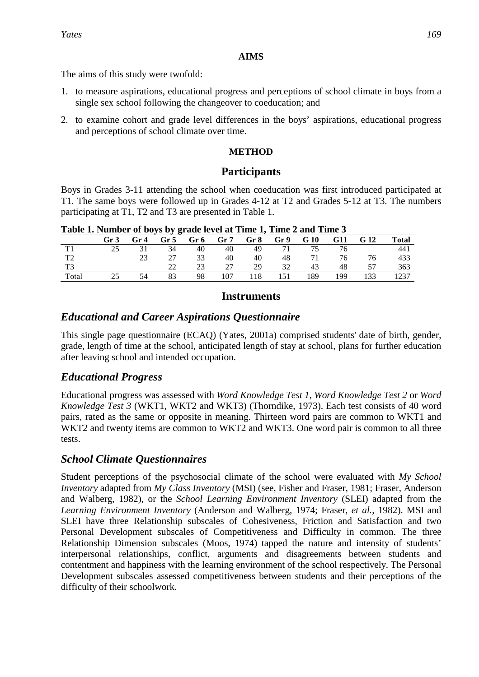### **AIMS**

The aims of this study were twofold:

- 1. to measure aspirations, educational progress and perceptions of school climate in boys from a single sex school following the changeover to coeducation; and
- 2. to examine cohort and grade level differences in the boys' aspirations, educational progress and perceptions of school climate over time.

### **METHOD**

# **Participants**

Boys in Grades 3-11 attending the school when coeducation was first introduced participated at T1. The same boys were followed up in Grades 4-12 at T2 and Grades 5-12 at T3. The numbers participating at T1, T2 and T3 are presented in Table 1.

| Tword If compact of $\omega_{ij}$ $\omega_{ij}$ grade for the fame $\Delta$ same $\Delta$ and $\Delta$ must be |      |                 |      |      |     |      |      |      |            |      |              |
|----------------------------------------------------------------------------------------------------------------|------|-----------------|------|------|-----|------|------|------|------------|------|--------------|
|                                                                                                                | Gr 3 | Gr <sub>4</sub> | Gr 5 | Gr 6 | Gr7 | Gr 8 | Gr 9 | G 10 | <b>G11</b> | G 12 | <b>Total</b> |
|                                                                                                                | 25   | 31              | 34   | 40   | 40  | 49   | 71   | 75   |            |      | 441          |
| T <sub>2</sub>                                                                                                 |      | 23              | 27   | 33   | 40  | 40   | 48   | 71   | 76         | 76   | 433          |
| T <sub>3</sub>                                                                                                 |      |                 |      | 23   | 27  | 29   | 32   | 43   | 48         | 57   | 363          |
| Total                                                                                                          |      | 54              | 83   | 98   | 107 | 118  | 151  | 189  | 199        | 133  | 1237         |

**Table 1. Number of boys by grade level at Time 1, Time 2 and Time 3** 

## **Instruments**

# *Educational and Career Aspirations Questionnaire*

This single page questionnaire (ECAQ) (Yates, 2001a) comprised students' date of birth, gender, grade, length of time at the school, anticipated length of stay at school, plans for further education after leaving school and intended occupation.

# *Educational Progress*

Educational progress was assessed with *Word Knowledge Test 1, Word Knowledge Test 2* or *Word Knowledge Test 3* (WKT1, WKT2 and WKT3) (Thorndike, 1973). Each test consists of 40 word pairs, rated as the same or opposite in meaning. Thirteen word pairs are common to WKT1 and WKT2 and twenty items are common to WKT2 and WKT3. One word pair is common to all three tests.

# *School Climate Questionnaires*

Student perceptions of the psychosocial climate of the school were evaluated with *My School Inventory* adapted from *My Class Inventory* (MSI) (see, Fisher and Fraser, 1981; Fraser, Anderson and Walberg, 1982), or the *School Learning Environment Inventory* (SLEI) adapted from the *Learning Environment Inventory* (Anderson and Walberg, 1974; Fraser, *et al.,* 1982). MSI and SLEI have three Relationship subscales of Cohesiveness, Friction and Satisfaction and two Personal Development subscales of Competitiveness and Difficulty in common. The three Relationship Dimension subscales (Moos, 1974) tapped the nature and intensity of students' interpersonal relationships, conflict, arguments and disagreements between students and contentment and happiness with the learning environment of the school respectively. The Personal Development subscales assessed competitiveness between students and their perceptions of the difficulty of their schoolwork.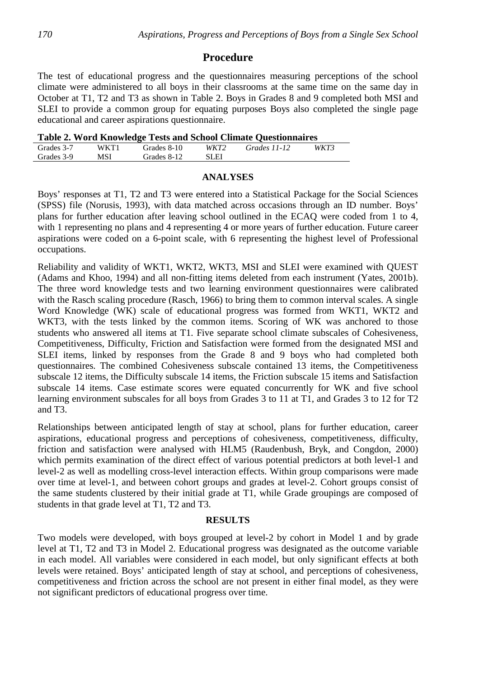### **Procedure**

The test of educational progress and the questionnaires measuring perceptions of the school climate were administered to all boys in their classrooms at the same time on the same day in October at T1, T2 and T3 as shown in Table 2. Boys in Grades 8 and 9 completed both MSI and SLEI to provide a common group for equating purposes Boys also completed the single page educational and career aspirations questionnaire.

|  |  |  | <b>Table 2. Word Knowledge Tests and School Climate Questionnaires</b> |
|--|--|--|------------------------------------------------------------------------|
|  |  |  |                                                                        |

| WKT3<br>WKT1<br>WKT2<br>Grades 3-7<br>Grades 11-12<br>Grades 8-10<br>MSI<br>SLEI<br>Grades 3-9<br>Grades 8-12 |  |  | $\sim$ while $\sim$ 11 or w same increase a coro while point of cannot $\gamma$ website increase to |  |
|---------------------------------------------------------------------------------------------------------------|--|--|-----------------------------------------------------------------------------------------------------|--|
|                                                                                                               |  |  |                                                                                                     |  |
|                                                                                                               |  |  |                                                                                                     |  |

#### **ANALYSES**

Boys' responses at T1, T2 and T3 were entered into a Statistical Package for the Social Sciences (SPSS) file (Norusis, 1993), with data matched across occasions through an ID number. Boys' plans for further education after leaving school outlined in the ECAQ were coded from 1 to 4, with 1 representing no plans and 4 representing 4 or more years of further education. Future career aspirations were coded on a 6-point scale, with 6 representing the highest level of Professional occupations.

Reliability and validity of WKT1, WKT2, WKT3, MSI and SLEI were examined with QUEST (Adams and Khoo, 1994) and all non-fitting items deleted from each instrument (Yates, 2001b). The three word knowledge tests and two learning environment questionnaires were calibrated with the Rasch scaling procedure (Rasch, 1966) to bring them to common interval scales. A single Word Knowledge (WK) scale of educational progress was formed from WKT1, WKT2 and WKT3, with the tests linked by the common items. Scoring of WK was anchored to those students who answered all items at T1. Five separate school climate subscales of Cohesiveness, Competitiveness, Difficulty, Friction and Satisfaction were formed from the designated MSI and SLEI items*,* linked by responses from the Grade 8 and 9 boys who had completed both questionnaires*.* The combined Cohesiveness subscale contained 13 items, the Competitiveness subscale 12 items, the Difficulty subscale 14 items, the Friction subscale 15 items and Satisfaction subscale 14 items. Case estimate scores were equated concurrently for WK and five school learning environment subscales for all boys from Grades 3 to 11 at T1, and Grades 3 to 12 for T2 and T3.

Relationships between anticipated length of stay at school, plans for further education, career aspirations, educational progress and perceptions of cohesiveness, competitiveness, difficulty, friction and satisfaction were analysed with HLM5 (Raudenbush, Bryk, and Congdon, 2000) which permits examination of the direct effect of various potential predictors at both level-1 and level-2 as well as modelling cross-level interaction effects. Within group comparisons were made over time at level-1, and between cohort groups and grades at level-2. Cohort groups consist of the same students clustered by their initial grade at T1, while Grade groupings are composed of students in that grade level at T1, T2 and T3.

#### **RESULTS**

Two models were developed, with boys grouped at level-2 by cohort in Model 1 and by grade level at T1, T2 and T3 in Model 2. Educational progress was designated as the outcome variable in each model. All variables were considered in each model, but only significant effects at both levels were retained. Boys' anticipated length of stay at school, and perceptions of cohesiveness, competitiveness and friction across the school are not present in either final model, as they were not significant predictors of educational progress over time.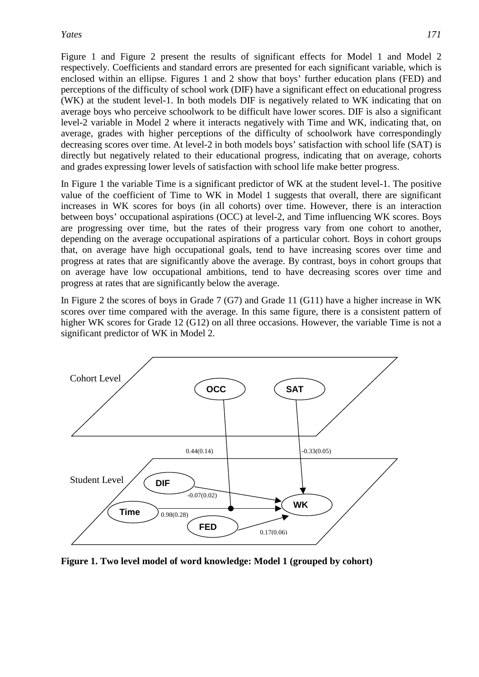Figure 1 and Figure 2 present the results of significant effects for Model 1 and Model 2 respectively. Coefficients and standard errors are presented for each significant variable, which is enclosed within an ellipse. Figures 1 and 2 show that boys' further education plans (FED) and perceptions of the difficulty of school work (DIF) have a significant effect on educational progress (WK) at the student level-1. In both models DIF is negatively related to WK indicating that on average boys who perceive schoolwork to be difficult have lower scores. DIF is also a significant level-2 variable in Model 2 where it interacts negatively with Time and WK, indicating that, on average, grades with higher perceptions of the difficulty of schoolwork have correspondingly decreasing scores over time. At level-2 in both models boys' satisfaction with school life (SAT) is directly but negatively related to their educational progress, indicating that on average, cohorts and grades expressing lower levels of satisfaction with school life make better progress.

In Figure 1 the variable Time is a significant predictor of WK at the student level-1. The positive value of the coefficient of Time to WK in Model 1 suggests that overall, there are significant increases in WK scores for boys (in all cohorts) over time. However, there is an interaction between boys' occupational aspirations (OCC) at level-2, and Time influencing WK scores. Boys are progressing over time, but the rates of their progress vary from one cohort to another, depending on the average occupational aspirations of a particular cohort. Boys in cohort groups that, on average have high occupational goals, tend to have increasing scores over time and progress at rates that are significantly above the average. By contrast, boys in cohort groups that on average have low occupational ambitions, tend to have decreasing scores over time and progress at rates that are significantly below the average.

In Figure 2 the scores of boys in Grade 7 (G7) and Grade 11 (G11) have a higher increase in WK scores over time compared with the average. In this same figure, there is a consistent pattern of higher WK scores for Grade 12 (G12) on all three occasions. However, the variable Time is not a significant predictor of WK in Model 2.



**Figure 1. Two level model of word knowledge: Model 1 (grouped by cohort)**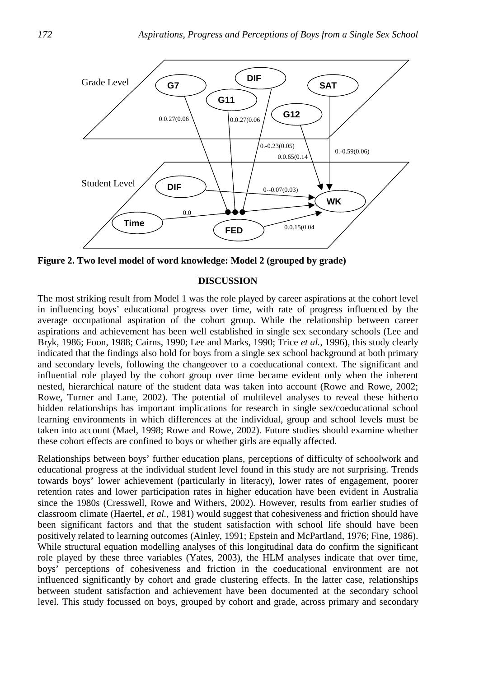

**Figure 2. Two level model of word knowledge: Model 2 (grouped by grade)** 

### **DISCUSSION**

The most striking result from Model 1 was the role played by career aspirations at the cohort level in influencing boys' educational progress over time, with rate of progress influenced by the average occupational aspiration of the cohort group. While the relationship between career aspirations and achievement has been well established in single sex secondary schools (Lee and Bryk, 1986; Foon, 1988; Cairns, 1990; Lee and Marks, 1990; Trice *et al.*, 1996), this study clearly indicated that the findings also hold for boys from a single sex school background at both primary and secondary levels, following the changeover to a coeducational context. The significant and influential role played by the cohort group over time became evident only when the inherent nested, hierarchical nature of the student data was taken into account (Rowe and Rowe, 2002; Rowe, Turner and Lane, 2002). The potential of multilevel analyses to reveal these hitherto hidden relationships has important implications for research in single sex/coeducational school learning environments in which differences at the individual, group and school levels must be taken into account (Mael, 1998; Rowe and Rowe, 2002). Future studies should examine whether these cohort effects are confined to boys or whether girls are equally affected.

Relationships between boys' further education plans, perceptions of difficulty of schoolwork and educational progress at the individual student level found in this study are not surprising. Trends towards boys' lower achievement (particularly in literacy), lower rates of engagement, poorer retention rates and lower participation rates in higher education have been evident in Australia since the 1980s (Cresswell, Rowe and Withers, 2002). However, results from earlier studies of classroom climate (Haertel, *et al.,* 1981) would suggest that cohesiveness and friction should have been significant factors and that the student satisfaction with school life should have been positively related to learning outcomes (Ainley, 1991; Epstein and McPartland, 1976; Fine, 1986). While structural equation modelling analyses of this longitudinal data do confirm the significant role played by these three variables (Yates, 2003), the HLM analyses indicate that over time, boys' perceptions of cohesiveness and friction in the coeducational environment are not influenced significantly by cohort and grade clustering effects. In the latter case, relationships between student satisfaction and achievement have been documented at the secondary school level. This study focussed on boys, grouped by cohort and grade, across primary and secondary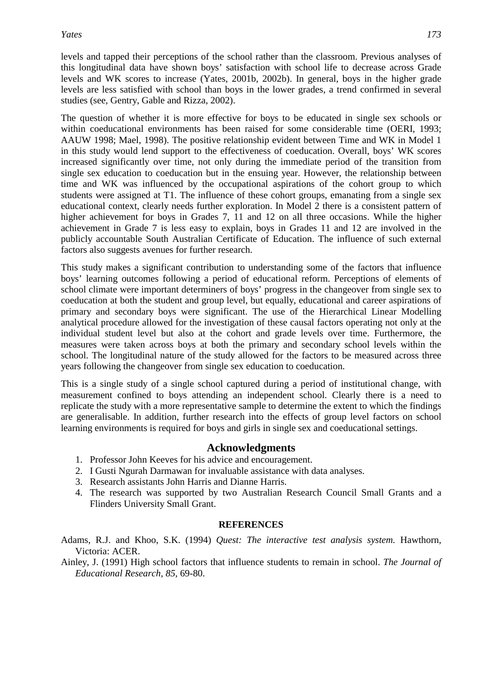levels and tapped their perceptions of the school rather than the classroom. Previous analyses of this longitudinal data have shown boys' satisfaction with school life to decrease across Grade levels and WK scores to increase (Yates, 2001b, 2002b). In general, boys in the higher grade levels are less satisfied with school than boys in the lower grades, a trend confirmed in several studies (see, Gentry, Gable and Rizza, 2002).

The question of whether it is more effective for boys to be educated in single sex schools or within coeducational environments has been raised for some considerable time (OERI, 1993; AAUW 1998; Mael, 1998). The positive relationship evident between Time and WK in Model 1 in this study would lend support to the effectiveness of coeducation. Overall, boys' WK scores increased significantly over time, not only during the immediate period of the transition from single sex education to coeducation but in the ensuing year. However, the relationship between time and WK was influenced by the occupational aspirations of the cohort group to which students were assigned at T1. The influence of these cohort groups, emanating from a single sex educational context, clearly needs further exploration. In Model 2 there is a consistent pattern of higher achievement for boys in Grades 7, 11 and 12 on all three occasions. While the higher achievement in Grade 7 is less easy to explain, boys in Grades 11 and 12 are involved in the publicly accountable South Australian Certificate of Education. The influence of such external factors also suggests avenues for further research.

This study makes a significant contribution to understanding some of the factors that influence boys' learning outcomes following a period of educational reform. Perceptions of elements of school climate were important determiners of boys' progress in the changeover from single sex to coeducation at both the student and group level, but equally, educational and career aspirations of primary and secondary boys were significant. The use of the Hierarchical Linear Modelling analytical procedure allowed for the investigation of these causal factors operating not only at the individual student level but also at the cohort and grade levels over time. Furthermore, the measures were taken across boys at both the primary and secondary school levels within the school. The longitudinal nature of the study allowed for the factors to be measured across three years following the changeover from single sex education to coeducation.

This is a single study of a single school captured during a period of institutional change, with measurement confined to boys attending an independent school. Clearly there is a need to replicate the study with a more representative sample to determine the extent to which the findings are generalisable. In addition, further research into the effects of group level factors on school learning environments is required for boys and girls in single sex and coeducational settings.

## **Acknowledgments**

- 1. Professor John Keeves for his advice and encouragement.
- 2. I Gusti Ngurah Darmawan for invaluable assistance with data analyses.
- 3. Research assistants John Harris and Dianne Harris.
- 4. The research was supported by two Australian Research Council Small Grants and a Flinders University Small Grant.

### **REFERENCES**

- Adams, R.J. and Khoo, S.K. (1994) *Quest: The interactive test analysis system.* Hawthorn, Victoria: ACER.
- Ainley, J. (1991) High school factors that influence students to remain in school. *The Journal of Educational Research, 85,* 69-80.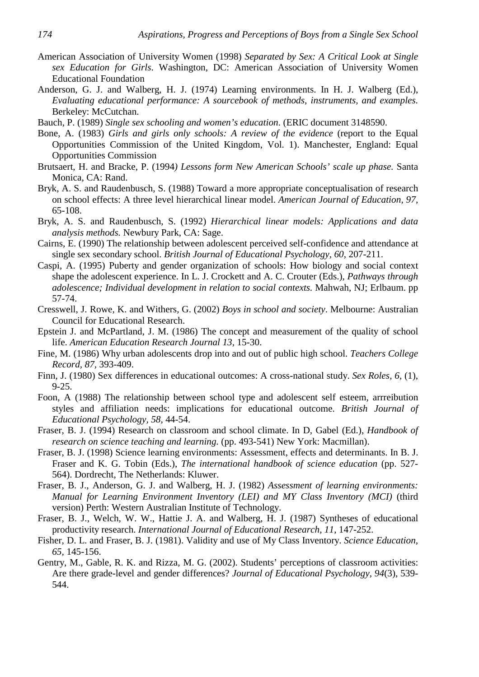- American Association of University Women (1998) *Separated by Sex: A Critical Look at Single sex Education for Girls*. Washington, DC: American Association of University Women Educational Foundation
- Anderson, G. J. and Walberg, H. J. (1974) Learning environments. In H. J. Walberg (Ed.), *Evaluating educational performance: A sourcebook of methods, instruments, and examples.*  Berkeley: McCutchan.
- Bauch, P. (1989) *Single sex schooling and women's education*. (ERIC document 3148590.
- Bone, A. (1983) *Girls and girls only schools: A review of the evidence* (report to the Equal Opportunities Commission of the United Kingdom, Vol. 1). Manchester, England: Equal Opportunities Commission
- Brutsaert, H. and Bracke, P. (1994*) Lessons form New American Schools' scale up phase.* Santa Monica, CA: Rand.
- Bryk, A. S. and Raudenbusch, S. (1988) Toward a more appropriate conceptualisation of research on school effects: A three level hierarchical linear model. *American Journal of Education, 97,* 65-108.
- Bryk, A. S. and Raudenbusch, S. (1992) *Hierarchical linear models: Applications and data analysis methods.* Newbury Park, CA: Sage.
- Cairns, E. (1990) The relationship between adolescent perceived self-confidence and attendance at single sex secondary school. *British Journal of Educational Psychology, 60*, 207-211.
- Caspi, A. (1995) Puberty and gender organization of schools: How biology and social context shape the adolescent experience. In L. J. Crockett and A. C. Crouter (Eds.), *Pathways through adolescence; Individual development in relation to social contexts.* Mahwah, NJ; Erlbaum. pp 57-74.
- Cresswell, J. Rowe, K. and Withers, G. (2002) *Boys in school and society*. Melbourne: Australian Council for Educational Research.
- Epstein J. and McPartland, J. M. (1986) The concept and measurement of the quality of school life. *American Education Research Journal 13,* 15-30.
- Fine, M. (1986) Why urban adolescents drop into and out of public high school. *Teachers College Record, 87,* 393-409.
- Finn, J. (1980) Sex differences in educational outcomes: A cross-national study. *Sex Roles, 6,* (1), 9-25.
- Foon, A (1988) The relationship between school type and adolescent self esteem, arrreibution styles and affiliation needs: implications for educational outcome. *British Journal of Educational Psychology, 58*, 44-54.
- Fraser, B. J. (1994) Research on classroom and school climate. In D, Gabel (Ed.), *Handbook of research on science teaching and learning.* (pp. 493-541) New York: Macmillan).
- Fraser, B. J. (1998) Science learning environments: Assessment, effects and determinants. In B. J. Fraser and K. G. Tobin (Eds.), *The international handbook of science education* (pp. 527- 564). Dordrecht, The Netherlands: Kluwer.
- Fraser, B. J., Anderson, G. J. and Walberg, H. J. (1982) *Assessment of learning environments: Manual for Learning Environment Inventory (LEI) and MY Class Inventory (MCI)* (third version) Perth: Western Australian Institute of Technology.
- Fraser, B. J., Welch, W. W., Hattie J. A. and Walberg, H. J. (1987) Syntheses of educational productivity research. *International Journal of Educational Research, 11*, 147-252.
- Fisher, D. L. and Fraser, B. J. (1981). Validity and use of My Class Inventory. *Science Education, 65,* 145-156.
- Gentry, M., Gable, R. K. and Rizza, M. G. (2002). Students' perceptions of classroom activities: Are there grade-level and gender differences? *Journal of Educational Psychology, 94*(3), 539- 544.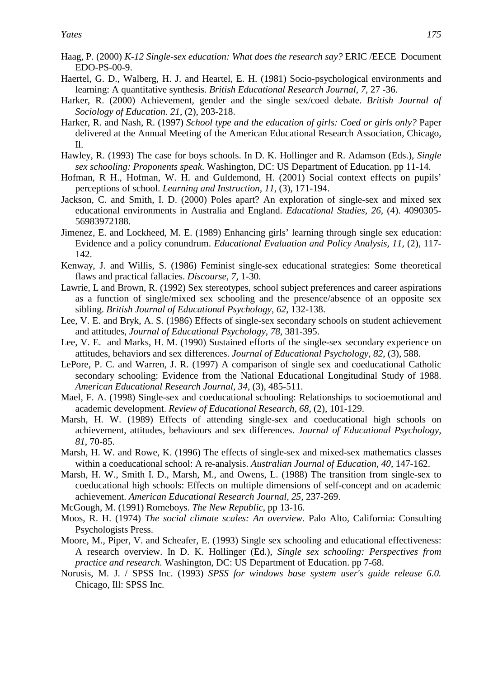- Haag, P. (2000) *K-12 Single-sex education: What does the research say?* ERIC /EECE Document EDO-PS-00-9.
- Haertel, G. D., Walberg, H. J. and Heartel, E. H. (1981) Socio-psychological environments and learning: A quantitative synthesis. *British Educational Research Journal, 7,* 27 -36.
- Harker, R. (2000) Achievement, gender and the single sex/coed debate. *British Journal of Sociology of Education. 21*, (2), 203-218.
- Harker, R. and Nash, R. (1997) *School type and the education of girls: Coed or girls only?* Paper delivered at the Annual Meeting of the American Educational Research Association, Chicago, Il.
- Hawley, R. (1993) The case for boys schools. In D. K. Hollinger and R. Adamson (Eds.), *Single sex schooling: Proponents speak*. Washington, DC: US Department of Education. pp 11-14.
- Hofman, R H., Hofman, W. H. and Guldemond, H. (2001) Social context effects on pupils' perceptions of school. *Learning and Instruction, 11,* (3), 171-194.
- Jackson, C. and Smith, I. D. (2000) Poles apart? An exploration of single-sex and mixed sex educational environments in Australia and England. *Educational Studies, 26,* (4). 4090305- 56983972188.
- Jimenez, E. and Lockheed, M. E. (1989) Enhancing girls' learning through single sex education: Evidence and a policy conundrum. *Educational Evaluation and Policy Analysis, 11,* (2), 117- 142.
- Kenway, J. and Willis, S. (1986) Feminist single-sex educational strategies: Some theoretical flaws and practical fallacies. *Discourse, 7,* 1-30.
- Lawrie, L and Brown, R. (1992) Sex stereotypes, school subject preferences and career aspirations as a function of single/mixed sex schooling and the presence/absence of an opposite sex sibling. *British Journal of Educational Psychology, 62*, 132-138.
- Lee, V. E. and Bryk, A. S. (1986) Effects of single-sex secondary schools on student achievement and attitudes, *Journal of Educational Psychology*, *78,* 381-395.
- Lee, V. E. and Marks, H. M. (1990) Sustained efforts of the single-sex secondary experience on attitudes, behaviors and sex differences. *Journal of Educational Psychology, 82*, (3), 588.
- LePore, P. C. and Warren, J. R. (1997) A comparison of single sex and coeducational Catholic secondary schooling: Evidence from the National Educational Longitudinal Study of 1988. *American Educational Research Journal, 34,* (3), 485-511.
- Mael, F. A. (1998) Single-sex and coeducational schooling: Relationships to socioemotional and academic development. *Review of Educational Research, 68,* (2), 101-129.
- Marsh, H. W. (1989) Effects of attending single-sex and coeducational high schools on achievement, attitudes, behaviours and sex differences. *Journal of Educational Psychology*, *81*, 70-85.
- Marsh, H. W. and Rowe, K. (1996) The effects of single-sex and mixed-sex mathematics classes within a coeducational school: A re-analysis. *Australian Journal of Education*, *40,* 147-162.
- Marsh, H. W., Smith I. D., Marsh, M., and Owens, L. (1988) The transition from single-sex to coeducational high schools: Effects on multiple dimensions of self-concept and on academic achievement. *American Educational Research Journal, 25,* 237-269.
- McGough, M. (1991) Romeboys. *The New Republic*, pp 13-16.
- Moos, R. H. (1974) *The social climate scales: An overview*. Palo Alto, California: Consulting Psychologists Press.
- Moore, M., Piper, V. and Scheafer, E. (1993) Single sex schooling and educational effectiveness: A research overview. In D. K. Hollinger (Ed.), *Single sex schooling: Perspectives from practice and research.* Washington, DC: US Department of Education. pp 7-68.
- Norusis, M. J. / SPSS Inc. (1993) *SPSS for windows base system user's guide release 6.0.*  Chicago, Ill: SPSS Inc.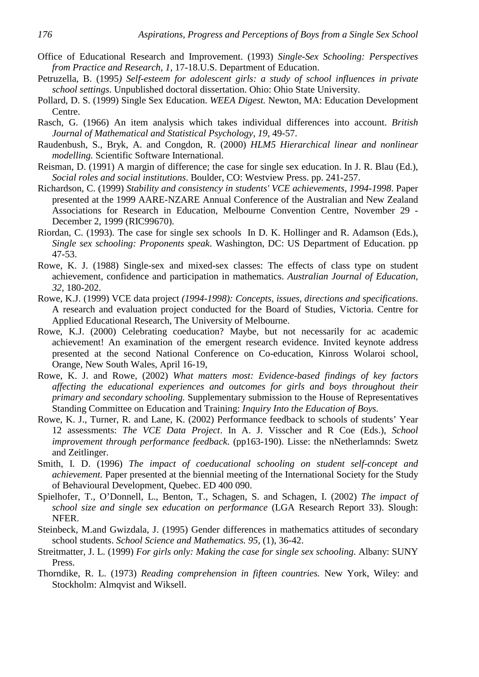- Office of Educational Research and Improvement. (1993) *Single-Sex Schooling: Perspectives from Practice and Research, 1,* 17-18.U.S. Department of Education.
- Petruzella, B. (1995*) Self-esteem for adolescent girls: a study of school influences in private school settings*. Unpublished doctoral dissertation. Ohio: Ohio State University.
- Pollard, D. S. (1999) Single Sex Education. *WEEA Digest.* Newton, MA: Education Development Centre.
- Rasch, G. (1966) An item analysis which takes individual differences into account. *British Journal of Mathematical and Statistical Psychology, 19,* 49-57.
- Raudenbush, S., Bryk, A. and Congdon, R. (2000) *HLM5 Hierarchical linear and nonlinear modelling.* Scientific Software International.
- Reisman, D. (1991) A margin of difference; the case for single sex education. In J. R. Blau (Ed.), *Social roles and social institutions*. Boulder, CO: Westview Press. pp. 241-257.
- Richardson, C. (1999) *Stability and consistency in students' VCE achievements, 1994-1998*. Paper presented at the 1999 AARE-NZARE Annual Conference of the Australian and New Zealand Associations for Research in Education, Melbourne Convention Centre, November 29 - December 2, 1999 (RIC99670).
- Riordan, C. (1993). The case for single sex schools In D. K. Hollinger and R. Adamson (Eds.), *Single sex schooling: Proponents speak*. Washington, DC: US Department of Education. pp 47-53.
- Rowe, K. J. (1988) Single-sex and mixed-sex classes: The effects of class type on student achievement, confidence and participation in mathematics. *Australian Journal of Education, 32,* 180-202.
- Rowe, K.J. (1999) VCE data project *(1994-1998): Concepts, issues, directions and specifications*. A research and evaluation project conducted for the Board of Studies, Victoria. Centre for Applied Educational Research, The University of Melbourne.
- Rowe, K.J. (2000) Celebrating coeducation? Maybe, but not necessarily for ac academic achievement! An examination of the emergent research evidence. Invited keynote address presented at the second National Conference on Co-education, Kinross Wolaroi school, Orange, New South Wales, April 16-19,
- Rowe, K. J. and Rowe, (2002) *What matters most: Evidence-based findings of key factors affecting the educational experiences and outcomes for girls and boys throughout their primary and secondary schooling.* Supplementary submission to the House of Representatives Standing Committee on Education and Training: *Inquiry Into the Education of Boys.*
- Rowe, K. J., Turner, R. and Lane, K. (2002) Performance feedback to schools of students' Year 12 assessments: *The VCE Data Project*. In A. J. Visscher and R Coe (Eds.), *School improvement through performance feedback*. (pp163-190). Lisse: the nNetherlamnds: Swetz and Zeitlinger.
- Smith, I. D. (1996) *The impact of coeducational schooling on student self-concept and achievement.* Paper presented at the biennial meeting of the International Society for the Study of Behavioural Development, Quebec. ED 400 090.
- Spielhofer, T., O'Donnell, L., Benton, T., Schagen, S. and Schagen, I. (2002) *The impact of school size and single sex education on performance* (LGA Research Report 33). Slough: NFER.
- Steinbeck, M.and Gwizdala, J. (1995) Gender differences in mathematics attitudes of secondary school students. *School Science and Mathematics. 95,* (1), 36-42.
- Streitmatter, J. L. (1999) *For girls only: Making the case for single sex schooling*. Albany: SUNY Press.
- Thorndike, R. L. (1973) *Reading comprehension in fifteen countries.* New York, Wiley: and Stockholm: Almqvist and Wiksell.